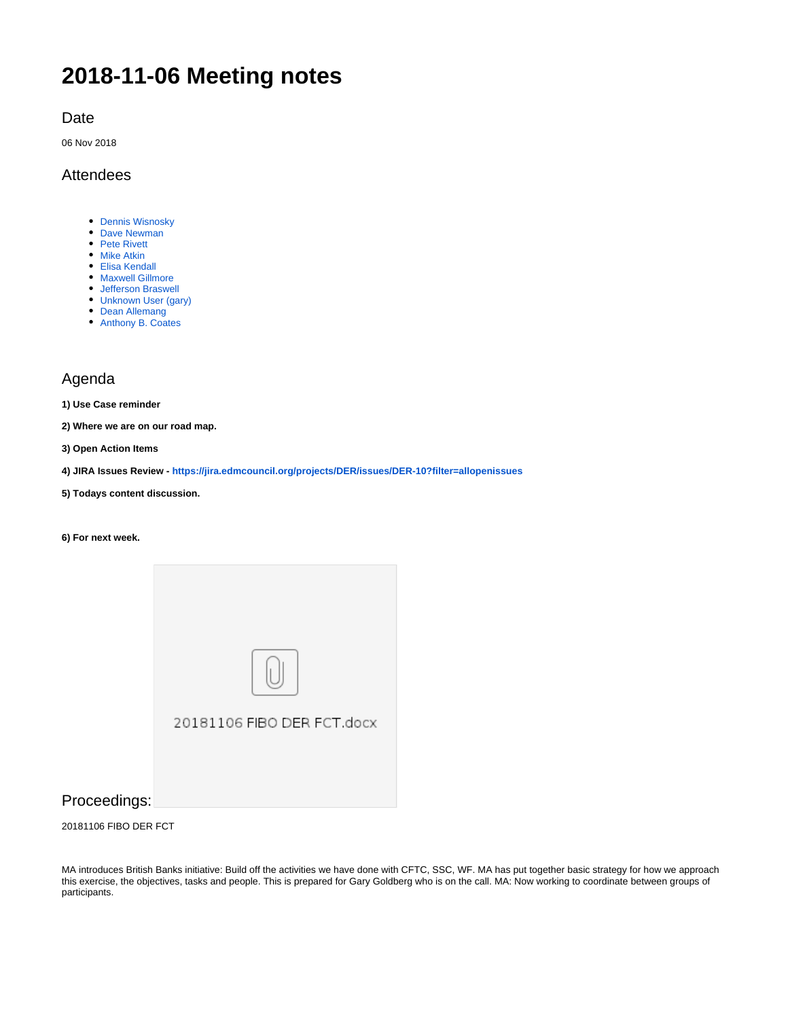# **2018-11-06 Meeting notes**

Date

06 Nov 2018

## Attendees

- [Dennis Wisnosky](https://wiki.edmcouncil.org/display/~DennisWisnosky)
- [Dave Newman](https://wiki.edmcouncil.org/display/~dsnewman)
- [Pete Rivett](https://wiki.edmcouncil.org/display/~rivettp) • [Mike Atkin](https://wiki.edmcouncil.org/display/~atkin)
- [Elisa Kendall](https://wiki.edmcouncil.org/display/~ElisaKendall)
- **[Maxwell Gillmore](https://wiki.edmcouncil.org/display/~maxwellrgillmore)**
- [Jefferson Braswell](https://wiki.edmcouncil.org/display/~ljb)
- [Unknown User \(gary\)](https://wiki.edmcouncil.org/display/~gary)
- [Dean Allemang](https://wiki.edmcouncil.org/display/~dallemang)
- [Anthony B. Coates](https://wiki.edmcouncil.org/display/~abcoates)

## Agenda

**1) Use Case reminder**

**2) Where we are on our road map.** 

**3) Open Action Items**

**4) JIRA Issues Review - <https://jira.edmcouncil.org/projects/DER/issues/DER-10?filter=allopenissues>**

- **5) Todays content discussion.**
- **6) For next week.**



# Proceedings:

20181106 FIBO DER FCT

MA introduces British Banks initiative: Build off the activities we have done with CFTC, SSC, WF. MA has put together basic strategy for how we approach this exercise, the objectives, tasks and people. This is prepared for Gary Goldberg who is on the call. MA: Now working to coordinate between groups of participants.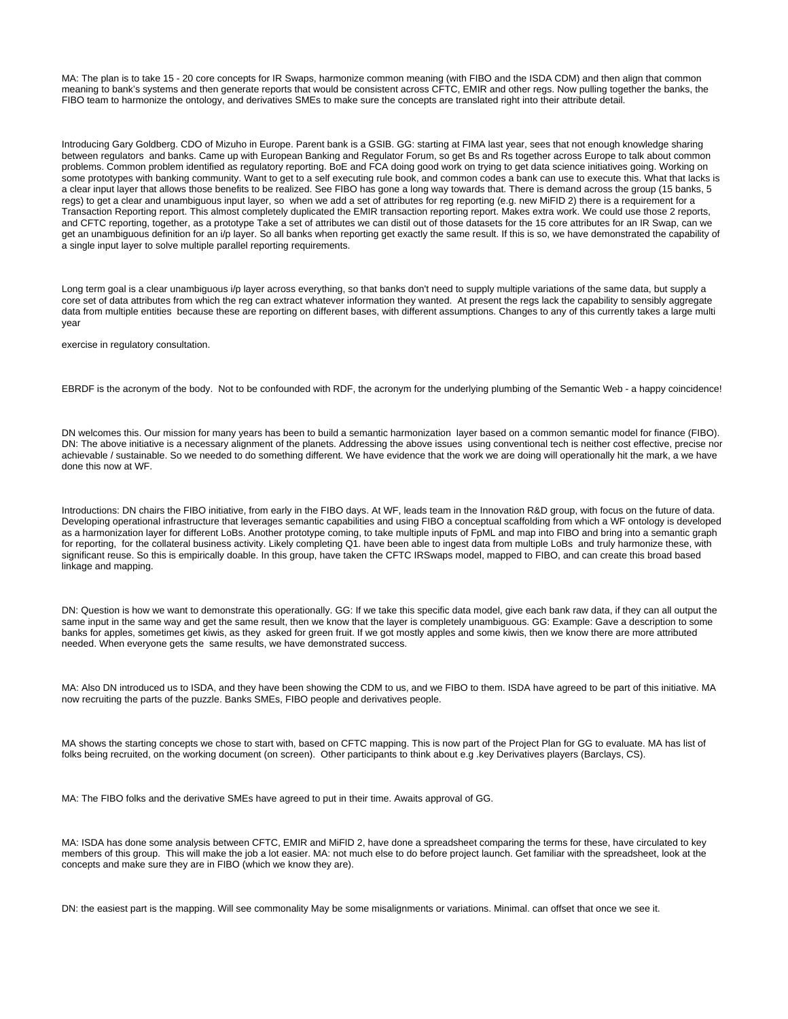MA: The plan is to take 15 - 20 core concepts for IR Swaps, harmonize common meaning (with FIBO and the ISDA CDM) and then align that common meaning to bank's systems and then generate reports that would be consistent across CFTC, EMIR and other regs. Now pulling together the banks, the FIBO team to harmonize the ontology, and derivatives SMEs to make sure the concepts are translated right into their attribute detail.

Introducing Gary Goldberg. CDO of Mizuho in Europe. Parent bank is a GSIB. GG: starting at FIMA last year, sees that not enough knowledge sharing between regulators and banks. Came up with European Banking and Regulator Forum, so get Bs and Rs together across Europe to talk about common problems. Common problem identified as regulatory reporting. BoE and FCA doing good work on trying to get data science initiatives going. Working on some prototypes with banking community. Want to get to a self executing rule book, and common codes a bank can use to execute this. What that lacks is a clear input layer that allows those benefits to be realized. See FIBO has gone a long way towards that. There is demand across the group (15 banks, 5 regs) to get a clear and unambiguous input layer, so when we add a set of attributes for reg reporting (e.g. new MiFID 2) there is a requirement for a Transaction Reporting report. This almost completely duplicated the EMIR transaction reporting report. Makes extra work. We could use those 2 reports, and CFTC reporting, together, as a prototype Take a set of attributes we can distil out of those datasets for the 15 core attributes for an IR Swap, can we get an unambiguous definition for an i/p layer. So all banks when reporting get exactly the same result. If this is so, we have demonstrated the capability of a single input layer to solve multiple parallel reporting requirements.

Long term goal is a clear unambiguous i/p layer across everything, so that banks don't need to supply multiple variations of the same data, but supply a core set of data attributes from which the reg can extract whatever information they wanted. At present the regs lack the capability to sensibly aggregate data from multiple entities because these are reporting on different bases, with different assumptions. Changes to any of this currently takes a large multi year

exercise in regulatory consultation.

EBRDF is the acronym of the body. Not to be confounded with RDF, the acronym for the underlying plumbing of the Semantic Web - a happy coincidence!

DN welcomes this. Our mission for many years has been to build a semantic harmonization layer based on a common semantic model for finance (FIBO). DN: The above initiative is a necessary alignment of the planets. Addressing the above issues using conventional tech is neither cost effective, precise nor achievable / sustainable. So we needed to do something different. We have evidence that the work we are doing will operationally hit the mark, a we have done this now at WF.

Introductions: DN chairs the FIBO initiative, from early in the FIBO days. At WF, leads team in the Innovation R&D group, with focus on the future of data. Developing operational infrastructure that leverages semantic capabilities and using FIBO a conceptual scaffolding from which a WF ontology is developed as a harmonization layer for different LoBs. Another prototype coming, to take multiple inputs of FpML and map into FIBO and bring into a semantic graph for reporting, for the collateral business activity. Likely completing Q1. have been able to ingest data from multiple LoBs and truly harmonize these, with significant reuse. So this is empirically doable. In this group, have taken the CFTC IRSwaps model, mapped to FIBO, and can create this broad based linkage and mapping.

DN: Question is how we want to demonstrate this operationally. GG: If we take this specific data model, give each bank raw data, if they can all output the same input in the same way and get the same result, then we know that the layer is completely unambiguous. GG: Example: Gave a description to some banks for apples, sometimes get kiwis, as they asked for green fruit. If we got mostly apples and some kiwis, then we know there are more attributed needed. When everyone gets the same results, we have demonstrated success.

MA: Also DN introduced us to ISDA, and they have been showing the CDM to us, and we FIBO to them. ISDA have agreed to be part of this initiative. MA now recruiting the parts of the puzzle. Banks SMEs, FIBO people and derivatives people.

MA shows the starting concepts we chose to start with, based on CFTC mapping. This is now part of the Project Plan for GG to evaluate. MA has list of folks being recruited, on the working document (on screen). Other participants to think about e.g .key Derivatives players (Barclays, CS).

MA: The FIBO folks and the derivative SMEs have agreed to put in their time. Awaits approval of GG.

MA: ISDA has done some analysis between CFTC, EMIR and MiFID 2, have done a spreadsheet comparing the terms for these, have circulated to key members of this group. This will make the job a lot easier. MA: not much else to do before project launch. Get familiar with the spreadsheet, look at the concepts and make sure they are in FIBO (which we know they are).

DN: the easiest part is the mapping. Will see commonality May be some misalignments or variations. Minimal. can offset that once we see it.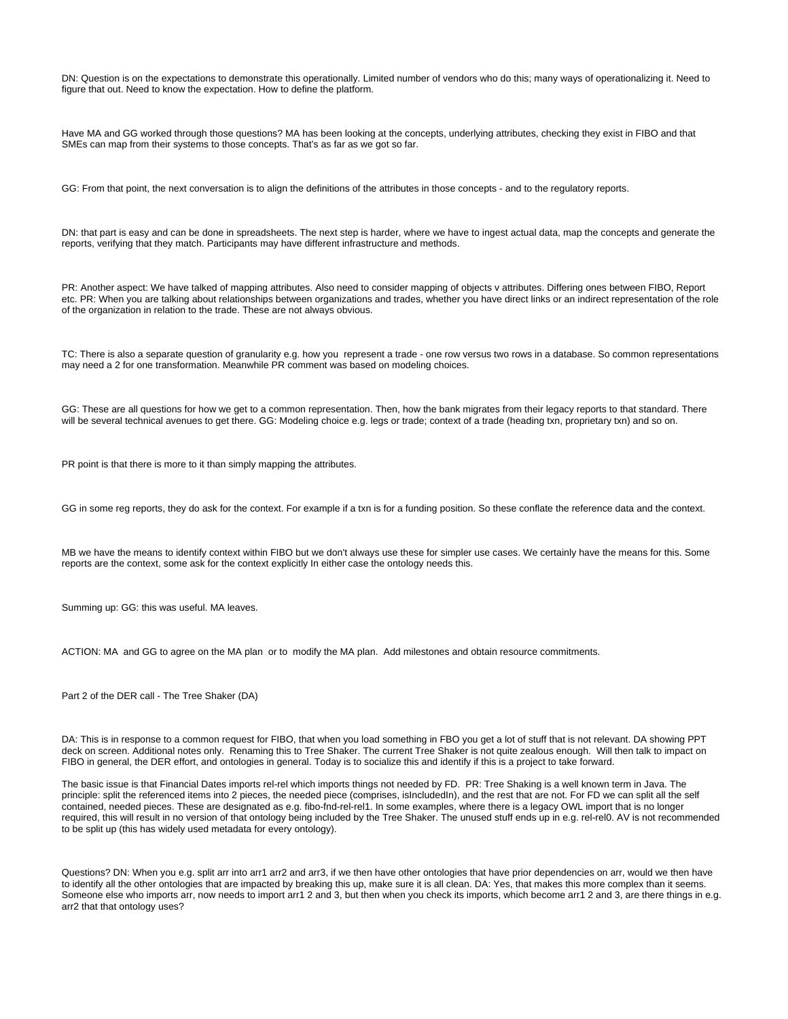DN: Question is on the expectations to demonstrate this operationally. Limited number of vendors who do this; many ways of operationalizing it. Need to figure that out. Need to know the expectation. How to define the platform.

Have MA and GG worked through those questions? MA has been looking at the concepts, underlying attributes, checking they exist in FIBO and that SMEs can map from their systems to those concepts. That's as far as we got so far.

GG: From that point, the next conversation is to align the definitions of the attributes in those concepts - and to the regulatory reports.

DN: that part is easy and can be done in spreadsheets. The next step is harder, where we have to ingest actual data, map the concepts and generate the reports, verifying that they match. Participants may have different infrastructure and methods.

PR: Another aspect: We have talked of mapping attributes. Also need to consider mapping of objects v attributes. Differing ones between FIBO, Report etc. PR: When you are talking about relationships between organizations and trades, whether you have direct links or an indirect representation of the role of the organization in relation to the trade. These are not always obvious.

TC: There is also a separate question of granularity e.g. how you represent a trade - one row versus two rows in a database. So common representations may need a 2 for one transformation. Meanwhile PR comment was based on modeling choices.

GG: These are all questions for how we get to a common representation. Then, how the bank migrates from their legacy reports to that standard. There will be several technical avenues to get there. GG: Modeling choice e.g. legs or trade; context of a trade (heading txn, proprietary txn) and so on.

PR point is that there is more to it than simply mapping the attributes.

GG in some reg reports, they do ask for the context. For example if a txn is for a funding position. So these conflate the reference data and the context.

MB we have the means to identify context within FIBO but we don't always use these for simpler use cases. We certainly have the means for this. Some reports are the context, some ask for the context explicitly In either case the ontology needs this.

Summing up: GG: this was useful. MA leaves.

ACTION: MA and GG to agree on the MA plan or to modify the MA plan. Add milestones and obtain resource commitments.

Part 2 of the DER call - The Tree Shaker (DA)

DA: This is in response to a common request for FIBO, that when you load something in FBO you get a lot of stuff that is not relevant. DA showing PPT deck on screen. Additional notes only. Renaming this to Tree Shaker. The current Tree Shaker is not quite zealous enough. Will then talk to impact on FIBO in general, the DER effort, and ontologies in general. Today is to socialize this and identify if this is a project to take forward.

The basic issue is that Financial Dates imports rel-rel which imports things not needed by FD. PR: Tree Shaking is a well known term in Java. The principle: split the referenced items into 2 pieces, the needed piece (comprises, islncludedIn), and the rest that are not. For FD we can split all the self contained, needed pieces. These are designated as e.g. fibo-fnd-rel-rel1. In some examples, where there is a legacy OWL import that is no longer required, this will result in no version of that ontology being included by the Tree Shaker. The unused stuff ends up in e.g. rel-rel0. AV is not recommended to be split up (this has widely used metadata for every ontology).

Questions? DN: When you e.g. split arr into arr1 arr2 and arr3, if we then have other ontologies that have prior dependencies on arr, would we then have to identify all the other ontologies that are impacted by breaking this up, make sure it is all clean. DA: Yes, that makes this more complex than it seems. Someone else who imports arr, now needs to import arr1 2 and 3, but then when you check its imports, which become arr1 2 and 3, are there things in e.g. arr2 that that ontology uses?